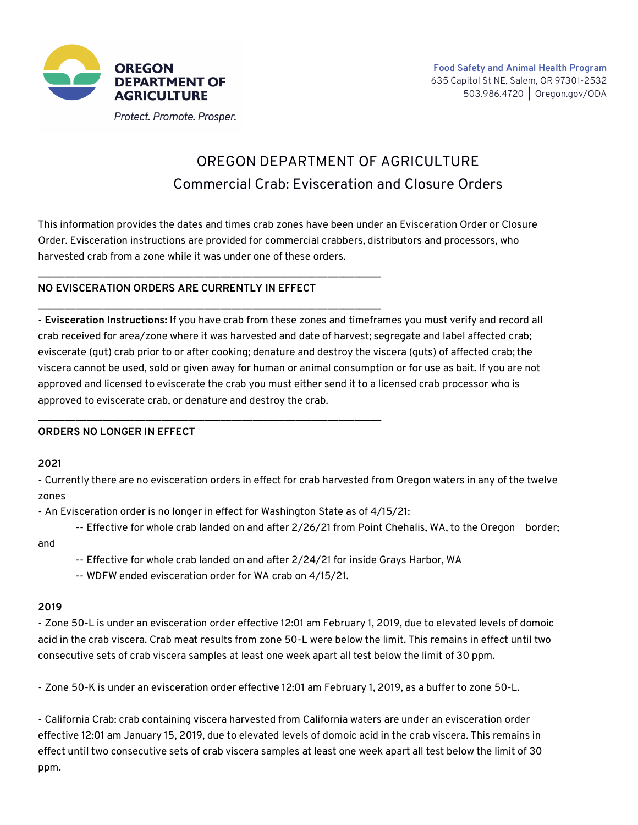

# OREGON DEPARTMENT OF AGRICULTURE Commercial Crab: Evisceration and Closure Orders

This information provides the dates and times crab zones have been under an Evisceration Order or Closure Order. Evisceration instructions are provided for commercial crabbers, distributors and processors, who harvested crab from a zone while it was under one of these orders.

## **NO EVISCERATION ORDERS ARE CURRENTLY IN EFFECT**

\_\_\_\_\_\_\_\_\_\_\_\_\_\_\_\_\_\_\_\_\_\_\_\_\_\_\_\_\_\_\_\_\_\_\_\_\_\_\_\_\_\_\_\_\_\_\_\_\_\_\_\_\_\_\_\_\_\_\_\_\_\_\_\_

\_\_\_\_\_\_\_\_\_\_\_\_\_\_\_\_\_\_\_\_\_\_\_\_\_\_\_\_\_\_\_\_\_\_\_\_\_\_\_\_\_\_\_\_\_\_\_\_\_\_\_\_\_\_\_\_\_\_\_\_\_\_\_\_

\_\_\_\_\_\_\_\_\_\_\_\_\_\_\_\_\_\_\_\_\_\_\_\_\_\_\_\_\_\_\_\_\_\_\_\_\_\_\_\_\_\_\_\_\_\_\_\_\_\_\_\_\_\_\_\_\_\_\_\_\_\_\_\_

- **Evisceration Instructions:** If you have crab from these zones and timeframes you must verify and record all crab received for area/zone where it was harvested and date of harvest; segregate and label affected crab; eviscerate (gut) crab prior to or after cooking; denature and destroy the viscera (guts) of affected crab; the viscera cannot be used, sold or given away for human or animal consumption or for use as bait. If you are not approved and licensed to eviscerate the crab you must either send it to a licensed crab processor who is approved to eviscerate crab, or denature and destroy the crab.

## **ORDERS NO LONGER IN EFFECT**

**2021**

- Currently there are no evisceration orders in effect for crab harvested from Oregon waters in any of the twelve zones

- An Evisceration order is no longer in effect for Washington State as of 4/15/21:

-- Effective for whole crab landed on and after 2/26/21 from Point Chehalis, WA, to the Oregon border;

and

- -- Effective for whole crab landed on and after 2/24/21 for inside Grays Harbor, WA
- -- WDFW ended evisceration order for WA crab on 4/15/21.

#### **2019**

- Zone 50-L is under an evisceration order effective 12:01 am February 1, 2019, due to elevated levels of domoic acid in the crab viscera. Crab meat results from zone 50-L were below the limit. This remains in effect until two consecutive sets of crab viscera samples at least one week apart all test below the limit of 30 ppm.

- Zone 50-K is under an evisceration order effective 12:01 am February 1, 2019, as a buffer to zone 50-L.

- California Crab: crab containing viscera harvested from California waters are under an evisceration order effective 12:01 am January 15, 2019, due to elevated levels of domoic acid in the crab viscera. This remains in effect until two consecutive sets of crab viscera samples at least one week apart all test below the limit of 30 ppm.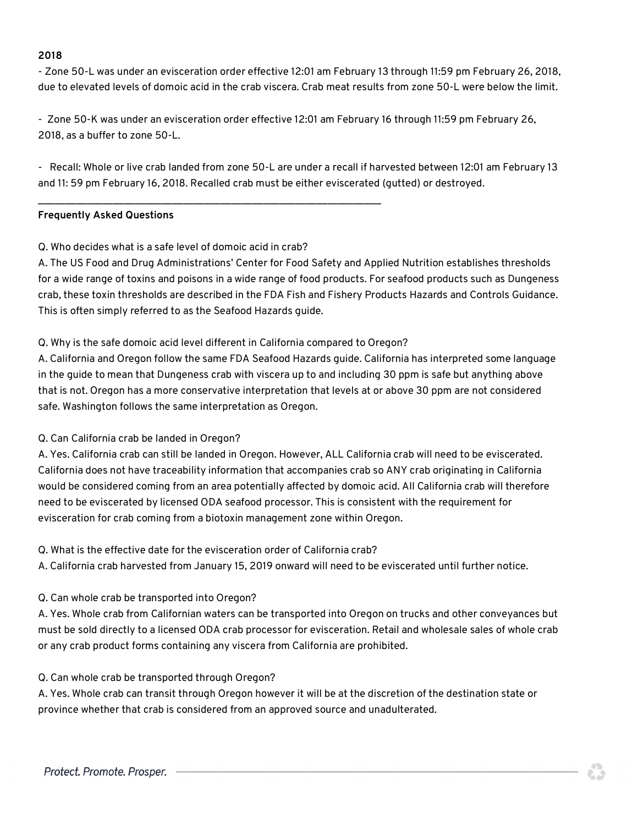#### **2018**

- Zone 50-L was under an evisceration order effective 12:01 am February 13 through 11:59 pm February 26, 2018, due to elevated levels of domoic acid in the crab viscera. Crab meat results from zone 50-L were below the limit.

- Zone 50-K was under an evisceration order effective 12:01 am February 16 through 11:59 pm February 26, 2018, as a buffer to zone 50-L.

- Recall: Whole or live crab landed from zone 50-L are under a recall if harvested between 12:01 am February 13 and 11: 59 pm February 16, 2018. Recalled crab must be either eviscerated (gutted) or destroyed.

## **Frequently Asked Questions**

## Q. Who decides what is a safe level of domoic acid in crab?

A. The US Food and Drug Administrations' Center for Food Safety and Applied Nutrition establishes thresholds for a wide range of toxins and poisons in a wide range of food products. For seafood products such as Dungeness crab, these toxin thresholds are described in the FDA Fish and Fishery Products Hazards and Controls Guidance. This is often simply referred to as the Seafood Hazards guide.

## Q. Why is the safe domoic acid level different in California compared to Oregon?

\_\_\_\_\_\_\_\_\_\_\_\_\_\_\_\_\_\_\_\_\_\_\_\_\_\_\_\_\_\_\_\_\_\_\_\_\_\_\_\_\_\_\_\_\_\_\_\_\_\_\_\_\_\_\_\_\_\_\_\_\_\_\_\_

A. California and Oregon follow the same FDA Seafood Hazards guide. California has interpreted some language in the guide to mean that Dungeness crab with viscera up to and including 30 ppm is safe but anything above that is not. Oregon has a more conservative interpretation that levels at or above 30 ppm are not considered safe. Washington follows the same interpretation as Oregon.

## Q. Can California crab be landed in Oregon?

A. Yes. California crab can still be landed in Oregon. However, ALL California crab will need to be eviscerated. California does not have traceability information that accompanies crab so ANY crab originating in California would be considered coming from an area potentially affected by domoic acid. All California crab will therefore need to be eviscerated by licensed ODA seafood processor. This is consistent with the requirement for evisceration for crab coming from a biotoxin management zone within Oregon.

## Q. What is the effective date for the evisceration order of California crab?

A. California crab harvested from January 15, 2019 onward will need to be eviscerated until further notice.

# Q. Can whole crab be transported into Oregon?

A. Yes. Whole crab from Californian waters can be transported into Oregon on trucks and other conveyances but must be sold directly to a licensed ODA crab processor for evisceration. Retail and wholesale sales of whole crab or any crab product forms containing any viscera from California are prohibited.

# Q. Can whole crab be transported through Oregon?

A. Yes. Whole crab can transit through Oregon however it will be at the discretion of the destination state or province whether that crab is considered from an approved source and unadulterated.